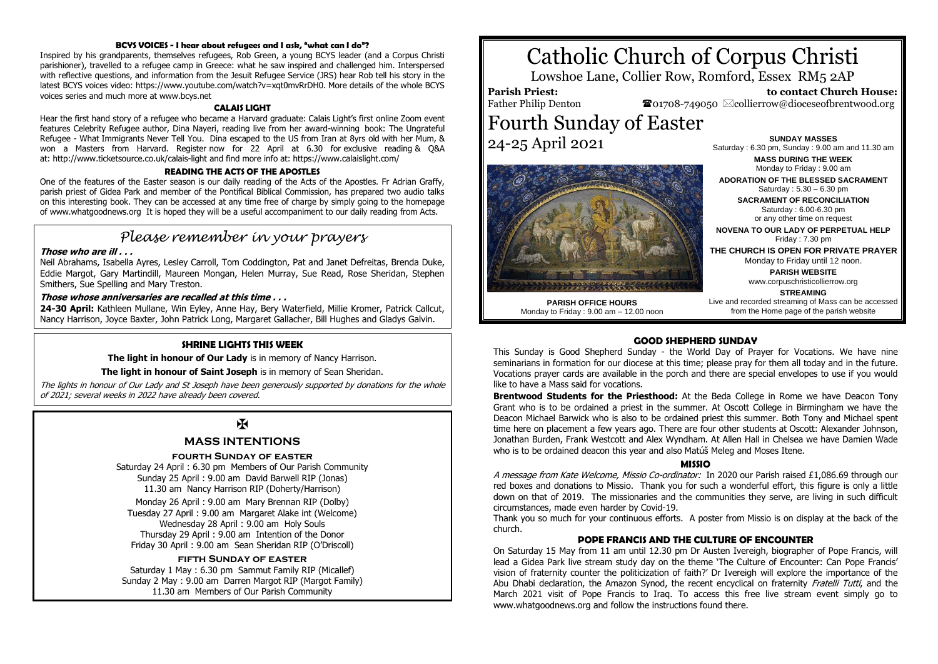#### **BCYS VOICES - I hear about refugees and I ask, "what can I do"?**

Inspired by his grandparents, themselves refugees, Rob Green, a young BCYS leader (and a Corpus Christi parishioner), travelled to a refugee camp in Greece: what he saw inspired and challenged him. Interspersed with reflective questions, and information from the Jesuit Refugee Service (JRS) hear Rob tell his story in the latest BCYS voices video: https://www.youtube.com/watch?v=xqt0mvRrDH0. More details of the whole BCYS voices series and much more at www.bcys.net

#### **CALAIS LIGHT**

Hear the first hand story of a refugee who became a Harvard graduate: Calais Light's first online Zoom event features Celebrity Refugee author, Dina Nayeri, reading live from her award-winning book: The Ungrateful Refugee - What Immigrants Never Tell You. Dina escaped to the US from Iran at 8yrs old with her Mum, & won a Masters from Harvard. Register now for 22 April at 6.30 for exclusive reading & Q&A at: http://www.ticketsource.co.uk/calais-light and find more info at: https://www.calaislight.com/

#### **READING THE ACTS OF THE APOSTLES**

One of the features of the Easter season is our daily reading of the Acts of the Apostles. Fr Adrian Graffy, parish priest of Gidea Park and member of the Pontifical Biblical Commission, has prepared two audio talks on this interesting book. They can be accessed at any time free of charge by simply going to the homepage of www.whatgoodnews.org It is hoped they will be a useful accompaniment to our daily reading from Acts.

## *Please remember in your prayers*

#### **Those who are ill . . .**

Neil Abrahams, Isabella Ayres, Lesley Carroll, Tom Coddington, Pat and Janet Defreitas, Brenda Duke, Eddie Margot, Gary Martindill, Maureen Mongan, Helen Murray, Sue Read, Rose Sheridan, Stephen Smithers, Sue Spelling and Mary Treston.

#### **Those whose anniversaries are recalled at this time . . .**

**24-30 April:** Kathleen Mullane, Win Eyley, Anne Hay, Bery Waterfield, Millie Kromer, Patrick Callcut, Nancy Harrison, Joyce Baxter, John Patrick Long, Margaret Gallacher, Bill Hughes and Gladys Galvin.

#### **SHRINE LIGHTS THIS WEEK**

**The light in honour of Our Lady** is in memory of Nancy Harrison.

#### **The light in honour of Saint Joseph** is in memory of Sean Sheridan.

The lights in honour of Our Lady and St Joseph have been generously supported by donations for the whole of 2021; several weeks in 2022 have already been covered.

### $\mathbf{K}$

#### **MASS INTENTIONS**

#### **fourth Sunday of easter**

Saturday 24 April : 6.30 pm Members of Our Parish Community Sunday 25 April : 9.00 am David Barwell RIP (Jonas) 11.30 am Nancy Harrison RIP (Doherty/Harrison)

Monday 26 April : 9.00 am Mary Brennan RIP (Dolby) Tuesday 27 April : 9.00 am Margaret Alake int (Welcome) Wednesday 28 April : 9.00 am Holy Souls Thursday 29 April : 9.00 am Intention of the Donor Friday 30 April : 9.00 am Sean Sheridan RIP (O'Driscoll)

#### **fifth Sunday of easter**

Saturday 1 May : 6.30 pm Sammut Family RIP (Micallef) Sunday 2 May : 9.00 am Darren Margot RIP (Margot Family) 11.30 am Members of Our Parish Community

# Catholic Church of Corpus Christi

Lowshoe Lane, Collier Row, Romford, Essex RM5 2AP

**Parish Priest:** Father Philip Denton

 **to contact Church House:**  $\bullet$ 01708-749050  $\boxtimes$ collierrow@dioceseofbrentwood.org

## Fourth Sunday of Easter 24-25 April 2021



**SUNDAY MASSES** Saturday : 6.30 pm, Sunday : 9.00 am and 11.30 am

> **MASS DURING THE WEEK** Monday to Friday : 9.00 am

**ADORATION OF THE BLESSED SACRAMENT** Saturday : 5.30 – 6.30 pm

**SACRAMENT OF RECONCILIATION** Saturday : 6.00-6.30 pm or any other time on request

**NOVENA TO OUR LADY OF PERPETUAL HELP** Friday : 7.30 pm

**THE CHURCH IS OPEN FOR PRIVATE PRAYER** Monday to Friday until 12 noon.

> **PARISH WEBSITE** www.corpuschristicollierrow.org

**PARISH OFFICE HOURS** Monday to Friday : 9.00 am – 12.00 noon

**STREAMING** Live and recorded streaming of Mass can be accessed from the Home page of the parish website

#### **GOOD SHEPHERD SUNDAY**

This Sunday is Good Shepherd Sunday - the World Day of Prayer for Vocations. We have nine seminarians in formation for our diocese at this time; please pray for them all today and in the future. Vocations prayer cards are available in the porch and there are special envelopes to use if you would like to have a Mass said for vocations.

**Brentwood Students for the Priesthood:** At the Beda College in Rome we have Deacon Tony Grant who is to be ordained a priest in the summer. At Oscott College in Birmingham we have the Deacon Michael Barwick who is also to be ordained priest this summer. Both Tony and Michael spent time here on placement a few years ago. There are four other students at Oscott: Alexander Johnson, Jonathan Burden, Frank Westcott and Alex Wyndham. At Allen Hall in Chelsea we have Damien Wade who is to be ordained deacon this year and also Matúš Meleg and Moses Itene.

#### **MISSIO**

A message from Kate Welcome, Missio Co-ordinator: In 2020 our Parish raised £1,086.69 through our red boxes and donations to Missio. Thank you for such a wonderful effort, this figure is only a little down on that of 2019. The missionaries and the communities they serve, are living in such difficult circumstances, made even harder by Covid-19.

Thank you so much for your continuous efforts. A poster from Missio is on display at the back of the church.

#### **POPE FRANCIS AND THE CULTURE OF ENCOUNTER**

On Saturday 15 May from 11 am until 12.30 pm Dr Austen Ivereigh, biographer of Pope Francis, will lead a Gidea Park live stream study day on the theme 'The Culture of Encounter: Can Pope Francis' vision of fraternity counter the politicization of faith?' Dr Ivereigh will explore the importance of the Abu Dhabi declaration, the Amazon Synod, the recent encyclical on fraternity Fratelli Tutti, and the March 2021 visit of Pope Francis to Iraq. To access this free live stream event simply go to www.whatgoodnews.org and follow the instructions found there.